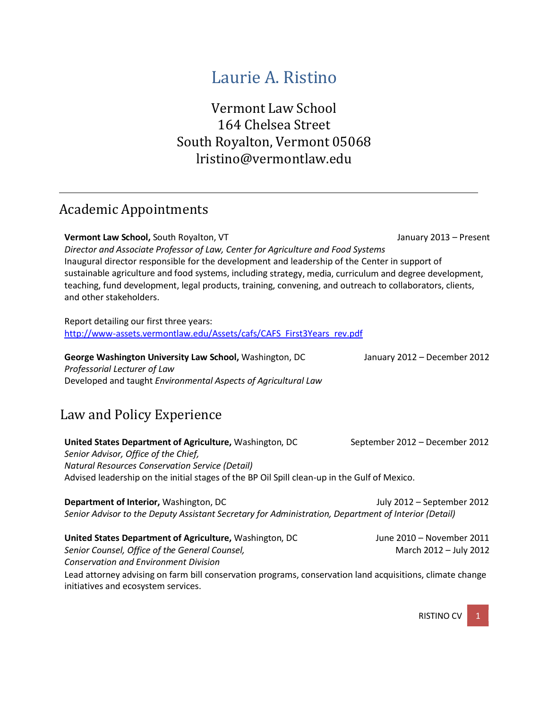# Laurie A. Ristino

Vermont Law School 164 Chelsea Street South Royalton, Vermont 0506[8](mailto:lristino@vermontlaw.edu) [lristino@vermontlaw.edu](mailto:lristino@vermontlaw.edu)

## Academic Appointments

**Vermont Law School,** South Royalton, VT January 2013 – Present *Director and Associate Professor of Law, Center for Agriculture and Food Systems* Inaugural director responsible for the development and leadership of the Center in support of sustainable agriculture and food systems, including strategy, media, curriculum and degree development, teaching, fund development, legal products, training, convening, and outreach to collaborators, clients, and other stakeholders.

Report detailing our first three years: [http://www-assets.vermontlaw.edu/Assets/cafs/CAFS\\_First3Years\\_rev.pdf](http://www-assets.vermontlaw.edu/Assets/cafs/CAFS_First3Years_rev.pdf)

**George Washington University Law School,** Washington, DC January 2012 – December 2012 *Professorial Lecturer of Law* Developed and taught *Environmental Aspects of Agricultural Law*

# Law and Policy Experience

**United States Department of Agriculture,** Washington, DC September 2012 – December 2012 *Senior Advisor, Office of the Chief, Natural Resources Conservation Service (Detail)* Advised leadership on the initial stages of the BP Oil Spill clean-up in the Gulf of Mexico.

**Department of Interior,** Washington, DC July 2012 – September 2012 *Senior Advisor to the Deputy Assistant Secretary for Administration, Department of Interior (Detail)*

**United States Department of Agriculture,** Washington, DC June 2010 – November 2011 *Senior Counsel, Office of the General Counsel,* March 2012 – July 2012 *Conservation and Environment Division* Lead attorney advising on farm bill conservation programs, conservation land acquisitions, climate change initiatives and ecosystem services.

**RISTINO CV**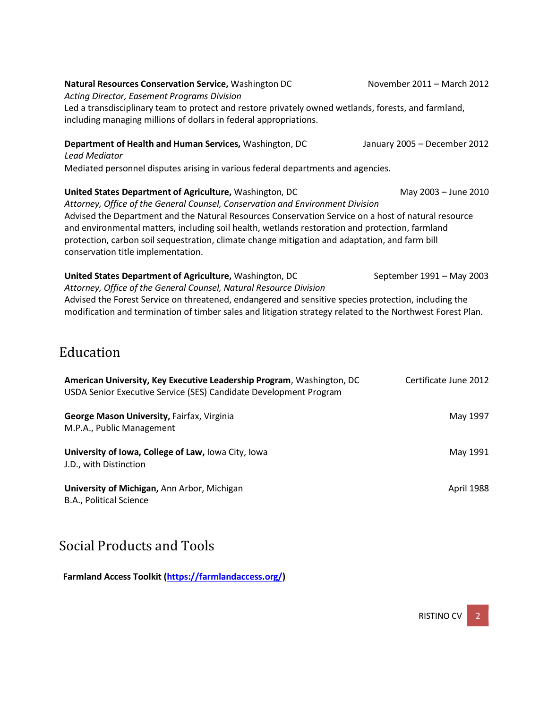| Natural Resources Conservation Service, Washington DC<br>Acting Director, Easement Programs Division                                                                                                                                                                                                                                                                                                                                                                                                                | November 2011 – March 2012   |  |
|---------------------------------------------------------------------------------------------------------------------------------------------------------------------------------------------------------------------------------------------------------------------------------------------------------------------------------------------------------------------------------------------------------------------------------------------------------------------------------------------------------------------|------------------------------|--|
| Led a transdisciplinary team to protect and restore privately owned wetlands, forests, and farmland,<br>including managing millions of dollars in federal appropriations.                                                                                                                                                                                                                                                                                                                                           |                              |  |
| Department of Health and Human Services, Washington, DC<br><b>Lead Mediator</b>                                                                                                                                                                                                                                                                                                                                                                                                                                     | January 2005 - December 2012 |  |
| Mediated personnel disputes arising in various federal departments and agencies.                                                                                                                                                                                                                                                                                                                                                                                                                                    |                              |  |
| United States Department of Agriculture, Washington, DC<br>May 2003 - June 2010<br>Attorney, Office of the General Counsel, Conservation and Environment Division<br>Advised the Department and the Natural Resources Conservation Service on a host of natural resource<br>and environmental matters, including soil health, wetlands restoration and protection, farmland<br>protection, carbon soil sequestration, climate change mitigation and adaptation, and farm bill<br>conservation title implementation. |                              |  |
| United States Department of Agriculture, Washington, DC<br>Attorney, Office of the General Counsel, Natural Resource Division                                                                                                                                                                                                                                                                                                                                                                                       | September 1991 - May 2003    |  |

Advised the Forest Service on threatened, endangered and sensitive species protection, including the modification and termination of timber sales and litigation strategy related to the Northwest Forest Plan.

## Education

| American University, Key Executive Leadership Program, Washington, DC<br>USDA Senior Executive Service (SES) Candidate Development Program | Certificate June 2012 |
|--------------------------------------------------------------------------------------------------------------------------------------------|-----------------------|
| George Mason University, Fairfax, Virginia<br>M.P.A., Public Management                                                                    | May 1997              |
| University of Iowa, College of Law, Iowa City, Iowa<br>J.D., with Distinction                                                              | May 1991              |
| University of Michigan, Ann Arbor, Michigan<br>B.A., Political Science                                                                     | April 1988            |

# Social Products and Tools

**Farmland Access Toolkit [\(https://farmlandaccess.org/\)](https://farmlandaccess.org/)**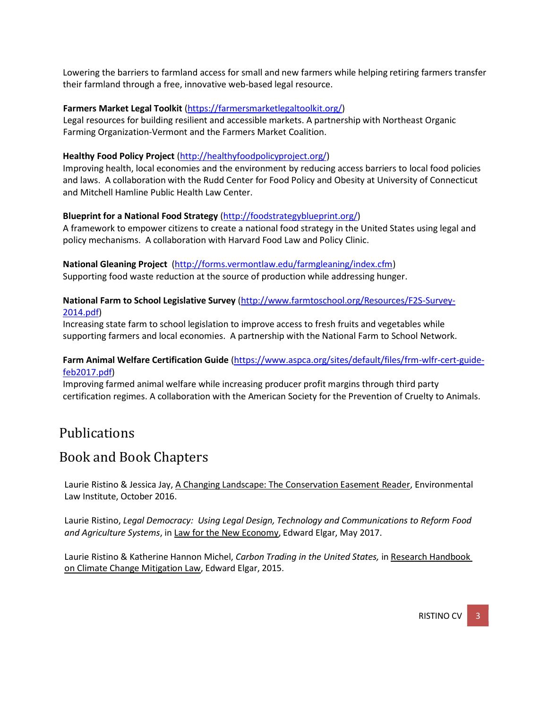Lowering the barriers to farmland access for small and new farmers while helping retiring farmers transfer their farmland through a free, innovative web-based legal resource.

#### **Farmers Market Legal Toolkit** [\(https://farmersmarketlegaltoolkit.org/\)](https://farmersmarketlegaltoolkit.org/)

Legal resources for building resilient and accessible markets. A partnership with Northeast Organic Farming Organization-Vermont and the Farmers Market Coalition.

#### **Healthy Food Policy Project** [\(http://healthyfoodpolicyproject.org/\)](http://healthyfoodpolicyproject.org/)

Improving health, local economies and the environment by reducing access barriers to local food policies and laws. A collaboration with the Rudd Center for Food Policy and Obesity at University of Connecticut and Mitchell Hamline Public Health Law Center.

#### **Blueprint for a National Food Strategy** [\(http://foodstrategyblueprint.org/\)](http://foodstrategyblueprint.org/)

A framework to empower citizens to create a national food strategy in the United States using legal and policy mechanisms. A collaboration with Harvard Food Law and Policy Clinic.

#### **National Gleaning Project** [\(http://forms.vermontlaw.edu/farmgleaning/index.cfm\)](http://forms.vermontlaw.edu/farmgleaning/index.cfm)

Supporting food waste reduction at the source of production while addressing hunger.

#### **National Farm to School Legislative Survey** [\(http://www.farmtoschool.org/Resources/F2S-Survey-](http://www.farmtoschool.org/Resources/F2S-Survey-2014.pdf)[2014.pdf\)](http://www.farmtoschool.org/Resources/F2S-Survey-2014.pdf)

Increasing state farm to school legislation to improve access to fresh fruits and vegetables while supporting farmers and local economies. A partnership with the National Farm to School Network.

#### **Farm Animal Welfare Certification Guide** [\(https://www.aspca.org/sites/default/files/frm-wlfr-cert-guide](https://www.aspca.org/sites/default/files/frm-wlfr-cert-guide-feb2017.pdf)[feb2017.pdf\)](https://www.aspca.org/sites/default/files/frm-wlfr-cert-guide-feb2017.pdf)

Improving farmed animal welfare while increasing producer profit margins through third party certification regimes. A collaboration with the American Society for the Prevention of Cruelty to Animals.

### Publications

### Book and Book Chapters

Laurie Ristino & Jessica Jay, A Changing Landscape: The Conservation Easement Reader, Environmental Law Institute, October 2016.

Laurie Ristino, *Legal Democracy: Using Legal Design, Technology and Communications to Reform Food and Agriculture Systems*, in Law for the New Economy, Edward Elgar, May 2017.

Laurie Ristino & Katherine Hannon Michel, *Carbon Trading in the United States,* in Research Handbook on Climate Change Mitigation Law, Edward Elgar, 2015.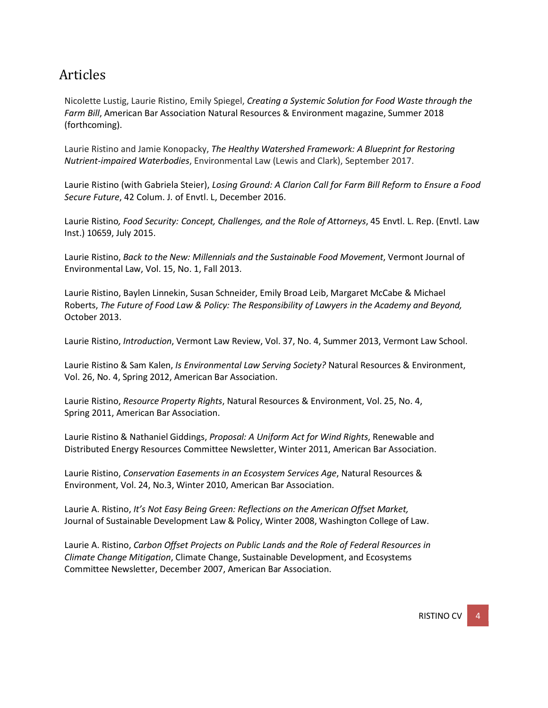## Articles

Nicolette Lustig, Laurie Ristino, Emily Spiegel, *Creating a Systemic Solution for Food Waste through the Farm Bill*, American Bar Association Natural Resources & Environment magazine, Summer 2018 (forthcoming).

Laurie Ristino and Jamie Konopacky, *The Healthy Watershed Framework: A Blueprint for Restoring Nutrient-impaired Waterbodies*, Environmental Law (Lewis and Clark), September 2017.

Laurie Ristino (with Gabriela Steier), *Losing Ground: A Clarion Call for Farm Bill Reform to Ensure a Food Secure Future*, 42 Colum. J. of Envtl. L, December 2016.

Laurie Ristino*, Food Security: Concept, Challenges, and the Role of Attorneys*, 45 Envtl. L. Rep. (Envtl. Law Inst.) 10659, July 2015.

Laurie Ristino, *Back to the New: Millennials and the Sustainable Food Movement*, Vermont Journal of Environmental Law, Vol. 15, No. 1, Fall 2013.

Laurie Ristino, Baylen Linnekin, Susan Schneider, Emily Broad Leib, Margaret McCabe & Michael Roberts, *The Future of Food Law & Policy: The Responsibility of Lawyers in the Academy and Beyond,*  October 2013.

Laurie Ristino, *Introduction*, Vermont Law Review, Vol. 37, No. 4, Summer 2013, Vermont Law School.

Laurie Ristino & Sam Kalen, *Is Environmental Law Serving Society?* Natural Resources & Environment, Vol. 26, No. 4, Spring 2012, American Bar Association.

Laurie Ristino, *Resource Property Rights*, Natural Resources & Environment, Vol. 25, No. 4, Spring 2011, American Bar Association.

Laurie Ristino & Nathaniel Giddings, *Proposal: A Uniform Act for Wind Rights*, Renewable and Distributed Energy Resources Committee Newsletter, Winter 2011, American Bar Association.

Laurie Ristino, *Conservation Easements in an Ecosystem Services Age*, Natural Resources & Environment, Vol. 24, No.3, Winter 2010, American Bar Association.

Laurie A. Ristino, *It's Not Easy Being Green: Reflections on the American Offset Market,* Journal of Sustainable Development Law & Policy, Winter 2008, Washington College of Law.

Laurie A. Ristino, *Carbon Offset Projects on Public Lands and the Role of Federal Resources in Climate Change Mitigation*, Climate Change, Sustainable Development, and Ecosystems Committee Newsletter, December 2007, American Bar Association.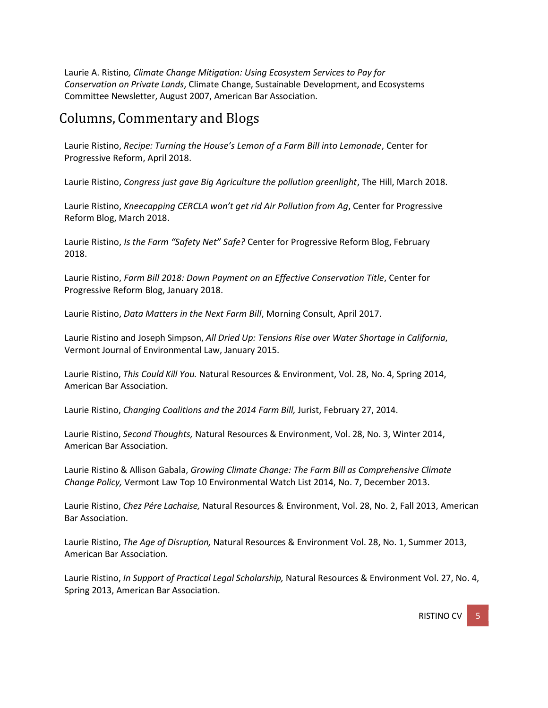Laurie A. Ristino*, Climate Change Mitigation: Using Ecosystem Services to Pay for Conservation on Private Lands*, Climate Change, Sustainable Development, and Ecosystems Committee Newsletter, August 2007, American Bar Association.

### Columns, Commentary and Blogs

Laurie Ristino, *Recipe: Turning the House's Lemon of a Farm Bill into Lemonade*, Center for Progressive Reform, April 2018.

Laurie Ristino, *Congress just gave Big Agriculture the pollution greenlight*, The Hill, March 2018.

Laurie Ristino, *Kneecapping CERCLA won't get rid Air Pollution from Ag*, Center for Progressive Reform Blog, March 2018.

Laurie Ristino, *Is the Farm "Safety Net" Safe?* Center for Progressive Reform Blog, February 2018.

Laurie Ristino, *Farm Bill 2018: Down Payment on an Effective Conservation Title*, Center for Progressive Reform Blog, January 2018.

Laurie Ristino, *Data Matters in the Next Farm Bill*, Morning Consult, April 2017.

Laurie Ristino and Joseph Simpson, *All Dried Up: Tensions Rise over Water Shortage in California*, Vermont Journal of Environmental Law, January 2015.

Laurie Ristino, *This Could Kill You.* Natural Resources & Environment, Vol. 28, No. 4, Spring 2014, American Bar Association.

Laurie Ristino, *Changing Coalitions and the 2014 Farm Bill,* Jurist, February 27, 2014.

Laurie Ristino, *Second Thoughts,* Natural Resources & Environment, Vol. 28, No. 3, Winter 2014, American Bar Association.

Laurie Ristino & Allison Gabala, *Growing Climate Change: The Farm Bill as Comprehensive Climate Change Policy,* Vermont Law Top 10 Environmental Watch List 2014, No. 7, December 2013.

Laurie Ristino, *Chez Pére Lachaise,* Natural Resources & Environment, Vol. 28, No. 2, Fall 2013, American Bar Association.

Laurie Ristino, *The Age of Disruption,* Natural Resources & Environment Vol. 28, No. 1, Summer 2013, American Bar Association.

Laurie Ristino, *In Support of Practical Legal Scholarship,* Natural Resources & Environment Vol. 27, No. 4, Spring 2013, American Bar Association.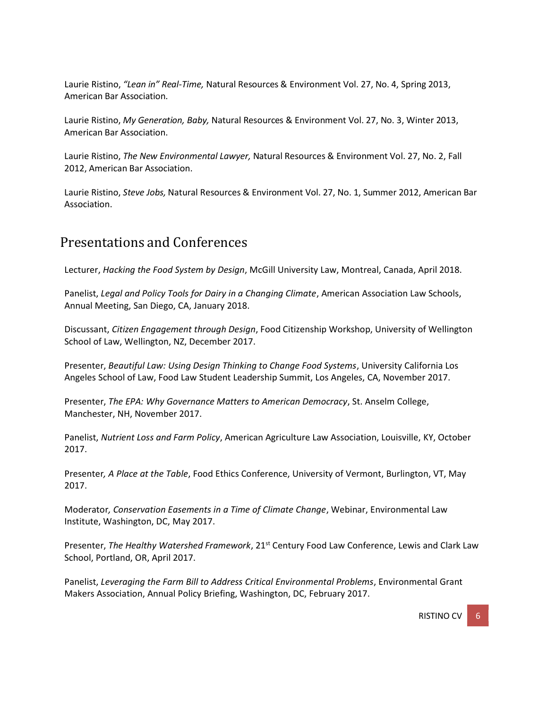Laurie Ristino, *"Lean in" Real-Time,* Natural Resources & Environment Vol. 27, No. 4, Spring 2013, American Bar Association.

Laurie Ristino, *My Generation, Baby,* Natural Resources & Environment Vol. 27, No. 3, Winter 2013, American Bar Association.

Laurie Ristino, *The New Environmental Lawyer,* Natural Resources & Environment Vol. 27, No. 2, Fall 2012, American Bar Association.

Laurie Ristino, *Steve Jobs,* Natural Resources & Environment Vol. 27, No. 1, Summer 2012, American Bar Association.

### Presentations and Conferences

Lecturer, *Hacking the Food System by Design*, McGill University Law, Montreal, Canada, April 2018.

Panelist, *Legal and Policy Tools for Dairy in a Changing Climate*, American Association Law Schools, Annual Meeting, San Diego, CA, January 2018.

Discussant, *Citizen Engagement through Design*, Food Citizenship Workshop, University of Wellington School of Law, Wellington, NZ, December 2017.

Presenter, *Beautiful Law: Using Design Thinking to Change Food Systems*, University California Los Angeles School of Law, Food Law Student Leadership Summit, Los Angeles, CA, November 2017.

Presenter, *The EPA: Why Governance Matters to American Democracy*, St. Anselm College, Manchester, NH, November 2017.

Panelist, *Nutrient Loss and Farm Policy*, American Agriculture Law Association, Louisville, KY, October 2017.

Presenter*, A Place at the Table*, Food Ethics Conference, University of Vermont, Burlington, VT, May 2017.

Moderator*, Conservation Easements in a Time of Climate Change*, Webinar, Environmental Law Institute, Washington, DC, May 2017.

Presenter, *The Healthy Watershed Framework*, 21st Century Food Law Conference, Lewis and Clark Law School, Portland, OR, April 2017.

Panelist, *Leveraging the Farm Bill to Address Critical Environmental Problems*, Environmental Grant Makers Association, Annual Policy Briefing, Washington, DC, February 2017.

RISTINO CV 6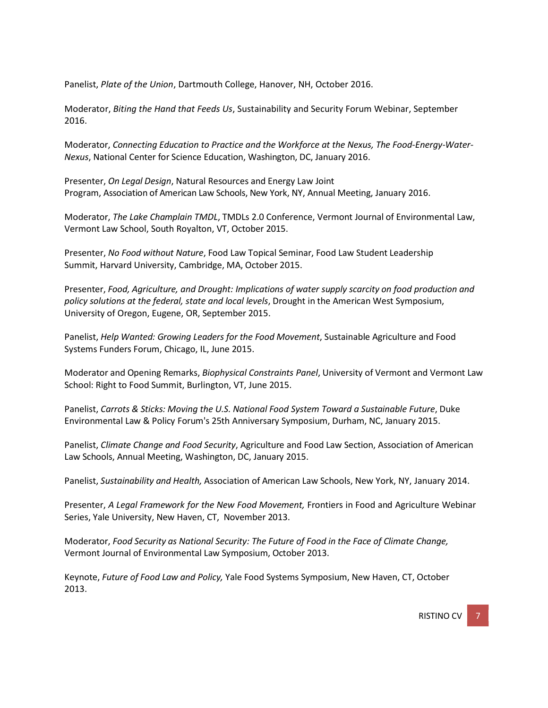Panelist, *Plate of the Union*, Dartmouth College, Hanover, NH, October 2016.

Moderator, *Biting the Hand that Feeds Us*, Sustainability and Security Forum Webinar, September 2016.

Moderator, *Connecting Education to Practice and the Workforce at the Nexus, The Food-Energy-Water-Nexus*, National Center for Science Education, Washington, DC, January 2016.

Presenter, *On Legal Design*, Natural Resources and Energy Law Joint Program, Association of American Law Schools, New York, NY, Annual Meeting, January 2016.

Moderator, *The Lake Champlain TMDL*, TMDLs 2.0 Conference, Vermont Journal of Environmental Law, Vermont Law School, South Royalton, VT, October 2015.

Presenter, *No Food without Nature*, Food Law Topical Seminar, Food Law Student Leadership Summit, Harvard University, Cambridge, MA, October 2015.

Presenter, *Food, Agriculture, and Drought: Implications of water supply scarcity on food production and policy solutions at the federal, state and local levels*, Drought in the American West Symposium, University of Oregon, Eugene, OR, September 2015.

Panelist, *Help Wanted: Growing Leaders for the Food Movement*, Sustainable Agriculture and Food Systems Funders Forum, Chicago, IL, June 2015.

Moderator and Opening Remarks, *Biophysical Constraints Panel*, University of Vermont and Vermont Law School: Right to Food Summit, Burlington, VT, June 2015.

Panelist, *Carrots & Sticks: Moving the U.S. National Food System Toward a Sustainable Future*, Duke Environmental Law & Policy Forum's 25th Anniversary Symposium, Durham, NC, January 2015.

Panelist, *Climate Change and Food Security*, Agriculture and Food Law Section, Association of American Law Schools, Annual Meeting, Washington, DC, January 2015.

Panelist, *Sustainability and Health,* Association of American Law Schools, New York, NY, January 2014.

Presenter, *A Legal Framework for the New Food Movement,* Frontiers in Food and Agriculture Webinar Series, Yale University, New Haven, CT, November 2013.

Moderator, *Food Security as National Security: The Future of Food in the Face of Climate Change,* Vermont Journal of Environmental Law Symposium, October 2013.

Keynote, *Future of Food Law and Policy,* Yale Food Systems Symposium, New Haven, CT, October 2013.

**RISTINO CV**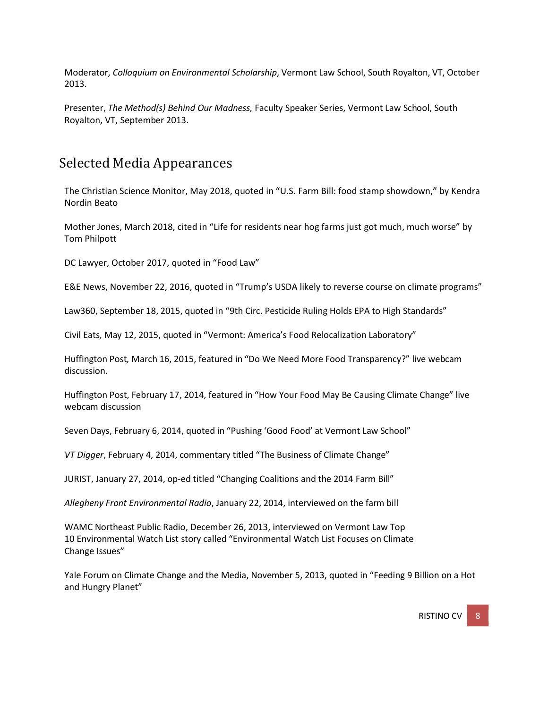Moderator, *Colloquium on Environmental Scholarship*, Vermont Law School, South Royalton, VT, October 2013.

Presenter, *The Method(s) Behind Our Madness,* Faculty Speaker Series, Vermont Law School, South Royalton, VT, September 2013.

### Selected Media Appearances

The Christian Science Monitor, May 2018, quoted in "U.S. Farm Bill: food stamp showdown," by Kendra Nordin Beato

Mother Jones, March 2018, cited in "Life for residents near hog farms just got much, much worse" by Tom Philpott

DC Lawyer, October 2017, quoted in "Food Law"

E&E News, November 22, 2016, quoted in "Trump's USDA likely to reverse course on climate programs"

Law360, September 18, 2015, quoted in "9th Circ. Pesticide Ruling Holds EPA to High Standards"

Civil Eats*,* May 12, 2015, quoted in "Vermont: America's Food Relocalization Laboratory"

Huffington Post*,* March 16, 2015, featured in "Do We Need More Food Transparency?" live webcam discussion.

Huffington Post, February 17, 2014, featured in "How Your Food May Be Causing Climate Change" live webcam discussion

Seven Days, February 6, 2014, quoted in "Pushing 'Good Food' at Vermont Law School"

*VT Digger*, February 4, 2014, commentary titled "The Business of Climate Change"

JURIST, January 27, 2014, op-ed titled "Changing Coalitions and the 2014 Farm Bill"

*Allegheny Front Environmental Radio*, January 22, 2014, interviewed on the farm bill

WAMC Northeast Public Radio, December 26, 2013, interviewed on Vermont Law Top 10 Environmental Watch List story called "Environmental Watch List Focuses on Climate Change Issues"

Yale Forum on Climate Change and the Media, November 5, 2013, quoted in "Feeding 9 Billion on a Hot and Hungry Planet"

RISTINO CV  $\begin{array}{|c|c|c|}$  8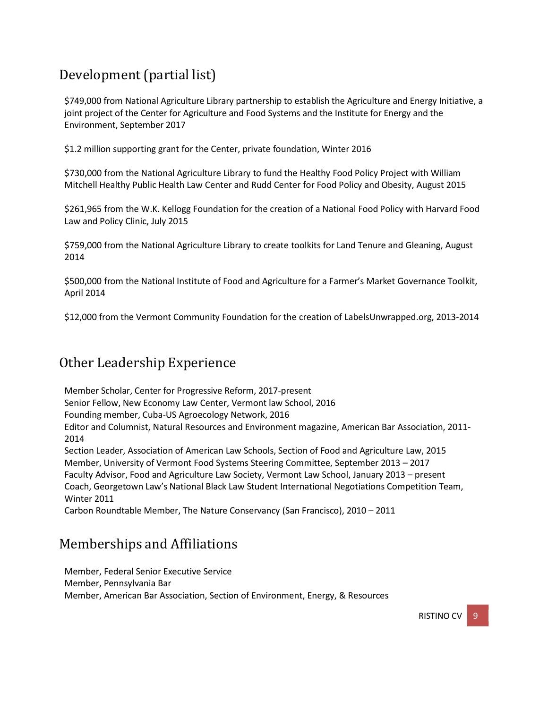# Development(partial list)

\$749,000 from National Agriculture Library partnership to establish the Agriculture and Energy Initiative, a joint project of the Center for Agriculture and Food Systems and the Institute for Energy and the Environment, September 2017

\$1.2 million supporting grant for the Center, private foundation, Winter 2016

\$730,000 from the National Agriculture Library to fund the Healthy Food Policy Project with William Mitchell Healthy Public Health Law Center and Rudd Center for Food Policy and Obesity, August 2015

\$261,965 from the W.K. Kellogg Foundation for the creation of a National Food Policy with Harvard Food Law and Policy Clinic, July 2015

\$759,000 from the National Agriculture Library to create toolkits for Land Tenure and Gleaning, August 2014

\$500,000 from the National Institute of Food and Agriculture for a Farmer's Market Governance Toolkit, April 2014

\$12,000 from the Vermont Community Foundation for the creation of LabelsUnwrapped.org, 2013-2014

## Other Leadership Experience

Member Scholar, Center for Progressive Reform, 2017-present Senior Fellow, New Economy Law Center, Vermont law School, 2016 Founding member, Cuba-US Agroecology Network, 2016 Editor and Columnist, Natural Resources and Environment magazine, American Bar Association, 2011- 2014 Section Leader, Association of American Law Schools, Section of Food and Agriculture Law, 2015 Member, University of Vermont Food Systems Steering Committee, September 2013 – 2017 Faculty Advisor, Food and Agriculture Law Society, Vermont Law School, January 2013 – present Coach, Georgetown Law's National Black Law Student International Negotiations Competition Team,

Winter 2011

Carbon Roundtable Member, The Nature Conservancy (San Francisco), 2010 – 2011

## Memberships and Affiliations

Member, Federal Senior Executive Service Member, Pennsylvania Bar Member, American Bar Association, Section of Environment, Energy, & Resources